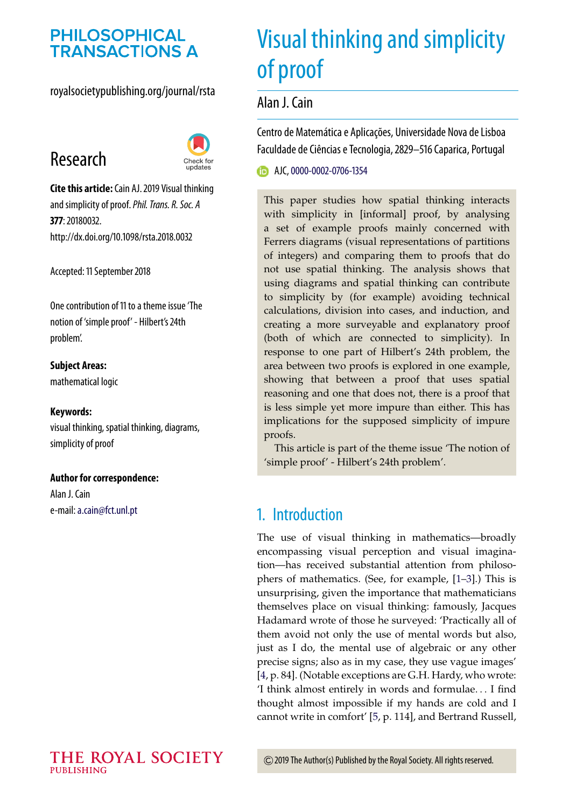# **PHILOSOPHICAL TRANSACTIONS A**

#### royalsocietypublishing.org/journal/rsta

# Research



**Cite this article:**Cain AJ. 2019 Visual thinking and simplicity of proof.*Phil. Trans. R. Soc. A* **377**: 20180032. http://dx.doi.org/10.1098/rsta.2018.0032

Accepted: 11 September 2018

[One contribution of 11 to a theme issue 'The](http://dx.doi.org/10.1098/rsta/377/2140) notion of 'simple proof' - Hilbert's 24th problem'.

**Subject Areas:** mathematical logic

#### **Keywords:**

visual thinking, spatial thinking, diagrams, simplicity of proof

#### **Author for correspondence:**

Alan J. Cain e-mail:[a.cain@fct.unl.pt](mailto:a.cain@fct.unl.pt)

# Visual thinking and simplicity of proof

Alan J. Cain

Centro de Matemática e Aplicações, Universidade Nova de Lisboa Faculdade de Ciências e Tecnologia, 2829–516 Caparica, Portugal

**B** AJC, [0000-0002-0706-1354](http://orcid.org/0000-0002-0706-1354)

This paper studies how spatial thinking interacts with simplicity in [informal] proof, by analysing a set of example proofs mainly concerned with Ferrers diagrams (visual representations of partitions of integers) and comparing them to proofs that do not use spatial thinking. The analysis shows that using diagrams and spatial thinking can contribute to simplicity by (for example) avoiding technical calculations, division into cases, and induction, and creating a more surveyable and explanatory proof (both of which are connected to simplicity). In response to one part of Hilbert's 24th problem, the area between two proofs is explored in one example, showing that between a proof that uses spatial reasoning and one that does not, there is a proof that is less simple yet more impure than either. This has implications for the supposed simplicity of impure proofs.

This article is part of the theme issue 'The notion of 'simple proof' - Hilbert's 24th problem'.

# 1. Introduction

The use of visual thinking in mathematics—broadly encompassing visual perception and visual imagination—has received substantial attention from philosophers of mathematics. (See, for example, [\[1](#page-11-0)[–3\]](#page-11-1).) This is unsurprising, given the importance that mathematicians themselves place on visual thinking: famously, Jacques Hadamard wrote of those he surveyed: 'Practically all of them avoid not only the use of mental words but also, just as I do, the mental use of algebraic or any other precise signs; also as in my case, they use vague images' [\[4,](#page-11-2) p. 84]. (Notable exceptions are G.H. Hardy, who wrote: 'I think almost entirely in words and formulae... I find thought almost impossible if my hands are cold and I cannot write in comfort' [\[5,](#page-11-3) p. 114], and Bertrand Russell,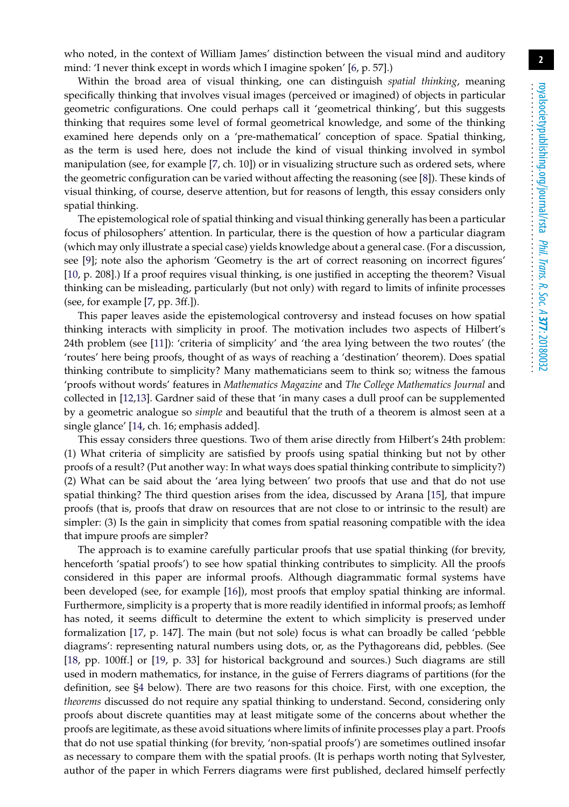who noted, in the context of William James' distinction between the visual mind and auditory mind: 'I never think except in words which I imagine spoken' [\[6,](#page-11-4) p. 57].)

Within the broad area of visual thinking, one can distinguish *spatial thinking*, meaning specifically thinking that involves visual images (perceived or imagined) of objects in particular geometric configurations. One could perhaps call it 'geometrical thinking', but this suggests thinking that requires some level of formal geometrical knowledge, and some of the thinking examined here depends only on a 'pre-mathematical' conception of space. Spatial thinking, as the term is used here, does not include the kind of visual thinking involved in symbol manipulation (see, for example [\[7,](#page-11-5) ch. 10]) or in visualizing structure such as ordered sets, where the geometric configuration can be varied without affecting the reasoning (see [\[8\]](#page-11-6)). These kinds of visual thinking, of course, deserve attention, but for reasons of length, this essay considers only spatial thinking.

The epistemological role of spatial thinking and visual thinking generally has been a particular focus of philosophers' attention. In particular, there is the question of how a particular diagram (which may only illustrate a special case) yields knowledge about a general case. (For a discussion, see [\[9\]](#page-11-7); note also the aphorism 'Geometry is the art of correct reasoning on incorrect figures' [\[10,](#page-11-8) p. 208].) If a proof requires visual thinking, is one justified in accepting the theorem? Visual thinking can be misleading, particularly (but not only) with regard to limits of infinite processes (see, for example [\[7,](#page-11-5) pp. 3ff.]).

This paper leaves aside the epistemological controversy and instead focuses on how spatial thinking interacts with simplicity in proof. The motivation includes two aspects of Hilbert's 24th problem (see [\[11\]](#page-11-9)): 'criteria of simplicity' and 'the area lying between the two routes' (the 'routes' here being proofs, thought of as ways of reaching a 'destination' theorem). Does spatial thinking contribute to simplicity? Many mathematicians seem to think so; witness the famous 'proofs without words' features in *Mathematics Magazine* and *The College Mathematics Journal* and collected in [\[12,](#page-11-10)[13\]](#page-11-11). Gardner said of these that 'in many cases a dull proof can be supplemented by a geometric analogue so *simple* and beautiful that the truth of a theorem is almost seen at a single glance' [\[14,](#page-11-12) ch. 16; emphasis added].

This essay considers three questions. Two of them arise directly from Hilbert's 24th problem: (1) What criteria of simplicity are satisfied by proofs using spatial thinking but not by other proofs of a result? (Put another way: In what ways does spatial thinking contribute to simplicity?) (2) What can be said about the 'area lying between' two proofs that use and that do not use spatial thinking? The third question arises from the idea, discussed by Arana [\[15\]](#page-12-0), that impure proofs (that is, proofs that draw on resources that are not close to or intrinsic to the result) are simpler: (3) Is the gain in simplicity that comes from spatial reasoning compatible with the idea that impure proofs are simpler?

The approach is to examine carefully particular proofs that use spatial thinking (for brevity, henceforth 'spatial proofs') to see how spatial thinking contributes to simplicity. All the proofs considered in this paper are informal proofs. Although diagrammatic formal systems have been developed (see, for example [\[16\]](#page-12-1)), most proofs that employ spatial thinking are informal. Furthermore, simplicity is a property that is more readily identified in informal proofs; as Iemhoff has noted, it seems difficult to determine the extent to which simplicity is preserved under formalization [\[17,](#page-12-2) p. 147]. The main (but not sole) focus is what can broadly be called 'pebble diagrams': representing natural numbers using dots, or, as the Pythagoreans did, pebbles. (See [\[18,](#page-12-3) pp. 100ff.] or [\[19,](#page-12-4) p. 33] for historical background and sources.) Such diagrams are still used in modern mathematics, for instance, in the guise of Ferrers diagrams of partitions (for the definition, see [§4](#page-4-0) below). There are two reasons for this choice. First, with one exception, the *theorems* discussed do not require any spatial thinking to understand. Second, considering only proofs about discrete quantities may at least mitigate some of the concerns about whether the proofs are legitimate, as these avoid situations where limits of infinite processes play a part. Proofs that do not use spatial thinking (for brevity, 'non-spatial proofs') are sometimes outlined insofar as necessary to compare them with the spatial proofs. (It is perhaps worth noting that Sylvester, author of the paper in which Ferrers diagrams were first published, declared himself perfectly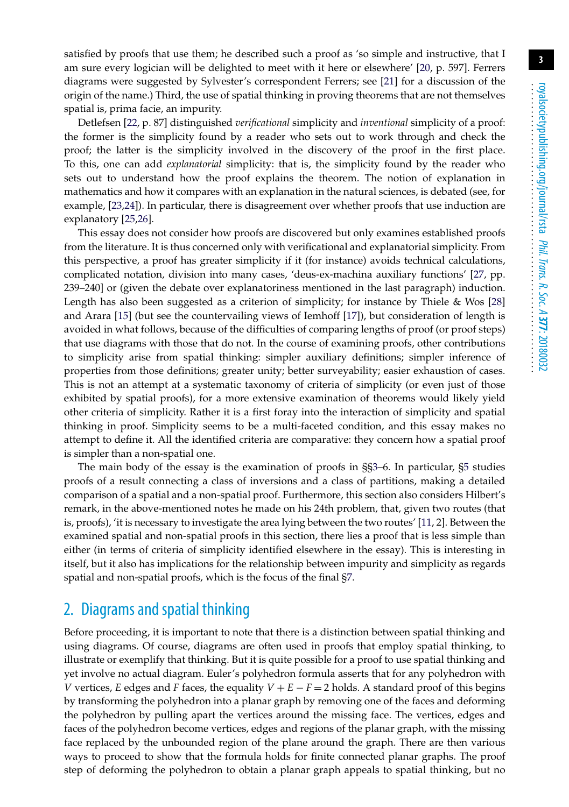satisfied by proofs that use them; he described such a proof as 'so simple and instructive, that I am sure every logician will be delighted to meet with it here or elsewhere' [\[20,](#page-12-5) p. 597]. Ferrers diagrams were suggested by Sylvester's correspondent Ferrers; see [\[21\]](#page-12-6) for a discussion of the origin of the name.) Third, the use of spatial thinking in proving theorems that are not themselves spatial is, prima facie, an impurity.

Detlefsen [\[22,](#page-12-7) p. 87] distinguished *verificational* simplicity and *inventional* simplicity of a proof: the former is the simplicity found by a reader who sets out to work through and check the proof; the latter is the simplicity involved in the discovery of the proof in the first place. To this, one can add *explanatorial* simplicity: that is, the simplicity found by the reader who sets out to understand how the proof explains the theorem. The notion of explanation in mathematics and how it compares with an explanation in the natural sciences, is debated (see, for example, [\[23,](#page-12-8)[24\]](#page-12-9)). In particular, there is disagreement over whether proofs that use induction are explanatory [\[25](#page-12-10)[,26\]](#page-12-11).

This essay does not consider how proofs are discovered but only examines established proofs from the literature. It is thus concerned only with verificational and explanatorial simplicity. From this perspective, a proof has greater simplicity if it (for instance) avoids technical calculations, complicated notation, division into many cases, 'deus-ex-machina auxiliary functions' [\[27,](#page-12-12) pp. 239–240] or (given the debate over explanatoriness mentioned in the last paragraph) induction. Length has also been suggested as a criterion of simplicity; for instance by Thiele & Wos [\[28\]](#page-12-13) and Arara [\[15\]](#page-12-0) (but see the countervailing views of Iemhoff [\[17\]](#page-12-2)), but consideration of length is avoided in what follows, because of the difficulties of comparing lengths of proof (or proof steps) that use diagrams with those that do not. In the course of examining proofs, other contributions to simplicity arise from spatial thinking: simpler auxiliary definitions; simpler inference of properties from those definitions; greater unity; better surveyability; easier exhaustion of cases. This is not an attempt at a systematic taxonomy of criteria of simplicity (or even just of those exhibited by spatial proofs), for a more extensive examination of theorems would likely yield other criteria of simplicity. Rather it is a first foray into the interaction of simplicity and spatial thinking in proof. Simplicity seems to be a multi-faceted condition, and this essay makes no attempt to define it. All the identified criteria are comparative: they concern how a spatial proof is simpler than a non-spatial one.

The main body of the essay is the examination of proofs in §[§3–](#page-3-0)6. In particular, [§5](#page-6-0) studies proofs of a result connecting a class of inversions and a class of partitions, making a detailed comparison of a spatial and a non-spatial proof. Furthermore, this section also considers Hilbert's remark, in the above-mentioned notes he made on his 24th problem, that, given two routes (that is, proofs), 'it is necessary to investigate the area lying between the two routes' [\[11,](#page-11-9) 2]. Between the examined spatial and non-spatial proofs in this section, there lies a proof that is less simple than either (in terms of criteria of simplicity identified elsewhere in the essay). This is interesting in itself, but it also has implications for the relationship between impurity and simplicity as regards spatial and non-spatial proofs, which is the focus of the final [§7.](#page-10-0)

# 2. Diagrams and spatial thinking

Before proceeding, it is important to note that there is a distinction between spatial thinking and using diagrams. Of course, diagrams are often used in proofs that employ spatial thinking, to illustrate or exemplify that thinking. But it is quite possible for a proof to use spatial thinking and yet involve no actual diagram. Euler's polyhedron formula asserts that for any polyhedron with *V* vertices, *E* edges and *F* faces, the equality  $V + E - F = 2$  holds. A standard proof of this begins by transforming the polyhedron into a planar graph by removing one of the faces and deforming the polyhedron by pulling apart the vertices around the missing face. The vertices, edges and faces of the polyhedron become vertices, edges and regions of the planar graph, with the missing face replaced by the unbounded region of the plane around the graph. There are then various ways to proceed to show that the formula holds for finite connected planar graphs. The proof step of deforming the polyhedron to obtain a planar graph appeals to spatial thinking, but no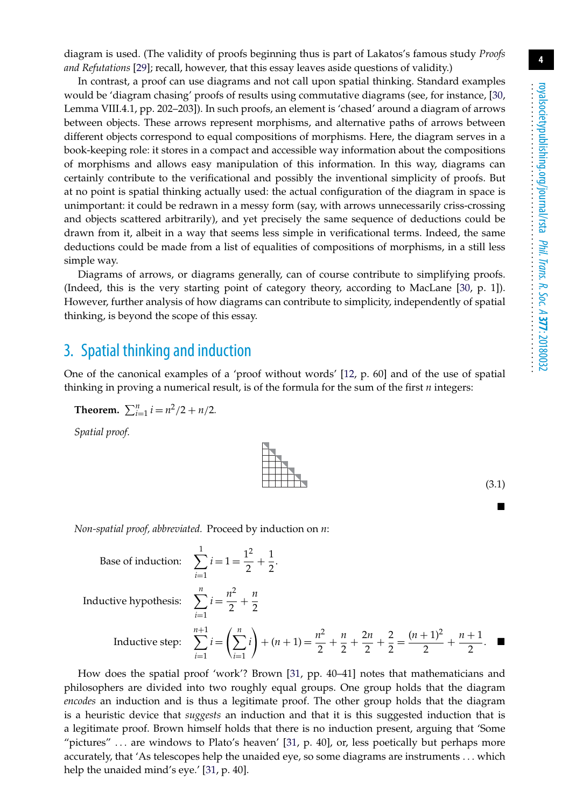diagram is used. (The validity of proofs beginning thus is part of Lakatos's famous study *Proofs and Refutations* [\[29\]](#page-12-14); recall, however, that this essay leaves aside questions of validity.)

In contrast, a proof can use diagrams and not call upon spatial thinking. Standard examples would be 'diagram chasing' proofs of results using commutative diagrams (see, for instance, [\[30,](#page-12-15) Lemma VIII.4.1, pp. 202–203]). In such proofs, an element is 'chased' around a diagram of arrows between objects. These arrows represent morphisms, and alternative paths of arrows between different objects correspond to equal compositions of morphisms. Here, the diagram serves in a book-keeping role: it stores in a compact and accessible way information about the compositions of morphisms and allows easy manipulation of this information. In this way, diagrams can certainly contribute to the verificational and possibly the inventional simplicity of proofs. But at no point is spatial thinking actually used: the actual configuration of the diagram in space is unimportant: it could be redrawn in a messy form (say, with arrows unnecessarily criss-crossing and objects scattered arbitrarily), and yet precisely the same sequence of deductions could be drawn from it, albeit in a way that seems less simple in verificational terms. Indeed, the same deductions could be made from a list of equalities of compositions of morphisms, in a still less simple way.

Diagrams of arrows, or diagrams generally, can of course contribute to simplifying proofs. (Indeed, this is the very starting point of category theory, according to MacLane [\[30,](#page-12-15) p. 1]). However, further analysis of how diagrams can contribute to simplicity, independently of spatial thinking, is beyond the scope of this essay.

#### <span id="page-3-0"></span>3. Spatial thinking and induction

One of the canonical examples of a 'proof without words' [\[12,](#page-11-10) p. 60] and of the use of spatial thinking in proving a numerical result, is of the formula for the sum of the first *n* integers:

**Theorem.** 
$$
\sum_{i=1}^{n} i = n^2/2 + n/2
$$
.

*Spatial proof.*

*Non-spatial proof, abbreviated.* Proceed by induction on *n*:

Base of induction:  $\sum_{ }^{ 1}$ 

Inductive hypothesis:  $\sum_{n=1}^n$ 

Inductive step:

*i*=1  $i = 1 = \frac{1^2}{2} +$ 1  $\overline{2}$ . *i*=1  $i = \frac{n^2}{2} + \frac{n}{2}$ n+1<br> **\** *i*=1  $i =$  $\left(\sum_{n=1}^{n}$ *i*=1 *i*  $\left( n + 1 \right) = \frac{n^2}{2} + \frac{n}{2} + \frac{n}{3}$ 2*n*  $\frac{1}{2}$  +  $\frac{2}{2} = \frac{(n+1)^2}{2} + \frac{n+1}{2}$ .

How does the spatial proof 'work'? Brown [\[31,](#page-12-16) pp. 40–41] notes that mathematicians and philosophers are divided into two roughly equal groups. One group holds that the diagram *encodes* an induction and is thus a legitimate proof. The other group holds that the diagram is a heuristic device that *suggests* an induction and that it is this suggested induction that is a legitimate proof. Brown himself holds that there is no induction present, arguing that 'Some "pictures" ... are windows to Plato's heaven' [\[31,](#page-12-16) p. 40], or, less poetically but perhaps more accurately, that 'As telescopes help the unaided eye, so some diagrams are instruments ... which help the unaided mind's eye.' [\[31,](#page-12-16) p. 40].



(3.1) -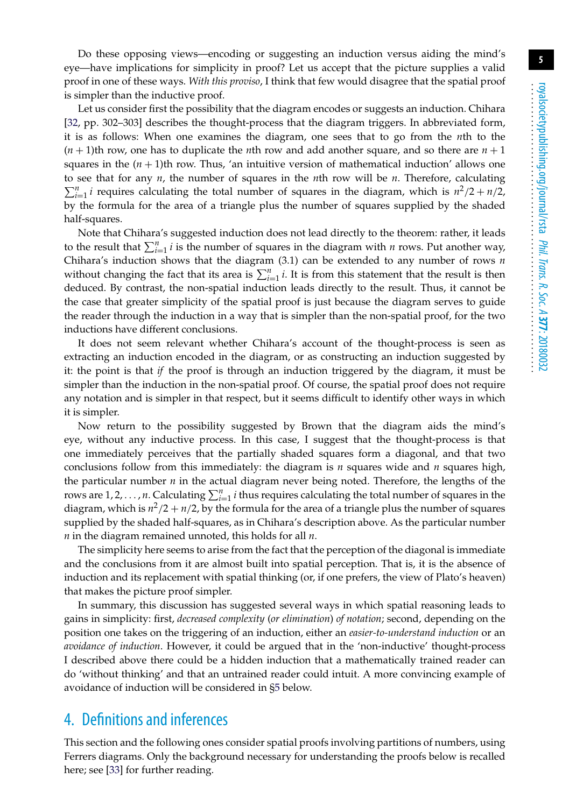Do these opposing views—encoding or suggesting an induction versus aiding the mind's eye—have implications for simplicity in proof? Let us accept that the picture supplies a valid proof in one of these ways. *With this proviso*, I think that few would disagree that the spatial proof is simpler than the inductive proof.

Let us consider first the possibility that the diagram encodes or suggests an induction. Chihara [\[32,](#page-12-17) pp. 302–303] describes the thought-process that the diagram triggers. In abbreviated form, it is as follows: When one examines the diagram, one sees that to go from the *n*th to the  $(n+1)$ th row, one has to duplicate the *n*th row and add another square, and so there are  $n+1$ squares in the  $(n + 1)$ th row. Thus, 'an intuitive version of mathematical induction' allows one to see that for any *n*, the number of squares in the *n*th row will be *n*. Therefore, calculating  $\sum_{i=1}^{n} i$  requires calculating the total number of squares in the diagram, which is  $n^2/2 + n/2$ , by the formula for the area of a triangle plus the number of squares supplied by the shaded half-squares.

Note that Chihara's suggested induction does not lead directly to the theorem: rather, it leads to the result that  $\sum_{i=1}^{n} i$  is the number of squares in the diagram with *n* rows. Put another way, Chihara's induction shows that the diagram (3.1) can be extended to any number of rows *n* without changing the fact that its area is  $\sum_{i=1}^{n} i$ . It is from this statement that the result is then deduced. By contrast, the non-spatial induction leads directly to the result. Thus, it cannot be the case that greater simplicity of the spatial proof is just because the diagram serves to guide the reader through the induction in a way that is simpler than the non-spatial proof, for the two inductions have different conclusions.

It does not seem relevant whether Chihara's account of the thought-process is seen as extracting an induction encoded in the diagram, or as constructing an induction suggested by it: the point is that *if* the proof is through an induction triggered by the diagram, it must be simpler than the induction in the non-spatial proof. Of course, the spatial proof does not require any notation and is simpler in that respect, but it seems difficult to identify other ways in which it is simpler.

Now return to the possibility suggested by Brown that the diagram aids the mind's eye, without any inductive process. In this case, I suggest that the thought-process is that one immediately perceives that the partially shaded squares form a diagonal, and that two conclusions follow from this immediately: the diagram is *n* squares wide and *n* squares high, the particular number *n* in the actual diagram never being noted. Therefore, the lengths of the rows are  $1, 2, \ldots, n$ . Calculating  $\sum_{i=1}^{n} i$  thus requires calculating the total number of squares in the diagram, which is  $n^2/2 + n/2$ , by the formula for the area of a triangle plus the number of squares supplied by the shaded half-squares, as in Chihara's description above. As the particular number *n* in the diagram remained unnoted, this holds for all *n*.

The simplicity here seems to arise from the fact that the perception of the diagonal is immediate and the conclusions from it are almost built into spatial perception. That is, it is the absence of induction and its replacement with spatial thinking (or, if one prefers, the view of Plato's heaven) that makes the picture proof simpler.

In summary, this discussion has suggested several ways in which spatial reasoning leads to gains in simplicity: first, *decreased complexity* (*or elimination*) *of notation*; second, depending on the position one takes on the triggering of an induction, either an *easier-to-understand induction* or an *avoidance of induction*. However, it could be argued that in the 'non-inductive' thought-process I described above there could be a hidden induction that a mathematically trained reader can do 'without thinking' and that an untrained reader could intuit. A more convincing example of avoidance of induction will be considered in [§5](#page-6-0) below.

# <span id="page-4-0"></span>4. Definitions and inferences

This section and the following ones consider spatial proofs involving partitions of numbers, using Ferrers diagrams. Only the background necessary for understanding the proofs below is recalled here; see [\[33\]](#page-12-18) for further reading.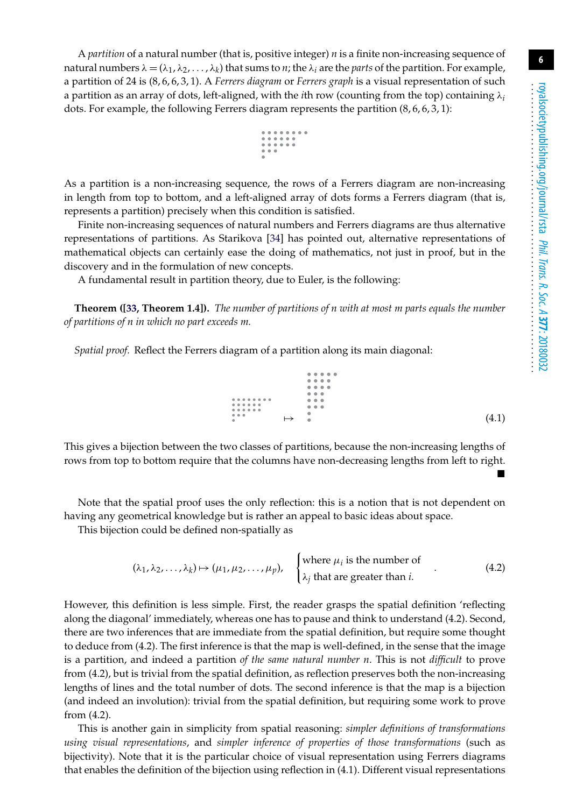-

A *partition* of a natural number (that is, positive integer) *n* is a finite non-increasing sequence of natural numbers  $\lambda = (\lambda_1, \lambda_2, ..., \lambda_k)$  that sums to *n*; the  $\lambda_i$  are the *parts* of the partition. For example, a partition of 24 is (8, 6, 6, 3, 1). A *Ferrers diagram* or *Ferrers graph* is a visual representation of such a partition as an array of dots, left-aligned, with the *i*th row (counting from the top) containing λ*<sup>i</sup>* dots. For example, the following Ferrers diagram represents the partition  $(8, 6, 6, 3, 1)$ :

$$
\begin{array}{c} 0 & 0 & 0 & 0 & 0 & 0 & 0 \\ 0 & 0 & 0 & 0 & 0 & 0 \\ 0 & 0 & 0 & 0 & 0 & 0 \\ 0 & 0 & 0 & 0 & 0 & 0 \\ 0 & 0 & 0 & 0 & 0 & 0 \\ 0 & 0 & 0 & 0 & 0 & 0 \\ 0 & 0 & 0 & 0 & 0 & 0 \\ 0 & 0 & 0 & 0 & 0 & 0 \\ 0 & 0 & 0 & 0 & 0 & 0 \\ 0 & 0 & 0 & 0 & 0 & 0 \\ 0 & 0 & 0 & 0 & 0 & 0 \\ 0 & 0 & 0 & 0 & 0 & 0 & 0 \\ 0 & 0 & 0 & 0 & 0 & 0 & 0 \\ 0 & 0 & 0 & 0 & 0 & 0 & 0 \\ 0 & 0 & 0 & 0 & 0 & 0 & 0 & 0 \\ 0 & 0 & 0 & 0 & 0 & 0 & 0 & 0 \\ 0 & 0 & 0 & 0 & 0 & 0 & 0 & 0 \\ 0 & 0 & 0 & 0 & 0 & 0 & 0 & 0 \\ 0 & 0 & 0 & 0 & 0 & 0 & 0 & 0 \\ 0 & 0 & 0 & 0 & 0 & 0 & 0 & 0 \\ 0 & 0 & 0 & 0 & 0 & 0 & 0 & 0 \\ 0 & 0 & 0 & 0 & 0 & 0 & 0 & 0 \\ 0 & 0 & 0 & 0 & 0 & 0 & 0 & 0 \\ 0 & 0 & 0 & 0 & 0 & 0 & 0 & 0 \\ 0 & 0 & 0 & 0 & 0 & 0 & 0 & 0 \\ 0 & 0 & 0 & 0 & 0 & 0 & 0 & 0 \\ 0 & 0 & 0 & 0 & 0 & 0 & 0 & 0 \\ 0 & 0 & 0 & 0 & 0 & 0 & 0 & 0 \\ 0 & 0 & 0 & 0 & 0 & 0 & 0 & 0 \\ 0 & 0 & 0 & 0 & 0 & 0 & 0 & 0 \\ 0 & 0 & 0 & 0 & 0 & 0 & 0 & 0 \\ 0 & 0 & 0 & 0 & 0 & 0 & 0 & 0 \\ 0 & 0 & 0 & 0 & 0 & 0 & 0 & 0 \\ 0 & 0 & 0 & 0 & 0 & 0 & 0 & 0 \\ 0 & 0 & 0 &
$$

As a partition is a non-increasing sequence, the rows of a Ferrers diagram are non-increasing in length from top to bottom, and a left-aligned array of dots forms a Ferrers diagram (that is, represents a partition) precisely when this condition is satisfied.

Finite non-increasing sequences of natural numbers and Ferrers diagrams are thus alternative representations of partitions. As Starikova [\[34\]](#page-12-19) has pointed out, alternative representations of mathematical objects can certainly ease the doing of mathematics, not just in proof, but in the discovery and in the formulation of new concepts.

A fundamental result in partition theory, due to Euler, is the following:

**Theorem ([\[33,](#page-12-18) Theorem 1.4]).** *The number of partitions of n with at most m parts equals the number of partitions of n in which no part exceeds m.*

*Spatial proof.* Reflect the Ferrers diagram of a partition along its main diagonal:

 $0.0.0$  $\bullet$   $\bullet$   $\bullet$  $\sim$   $\sim$  $\mapsto$  (4.1) -

This gives a bijection between the two classes of partitions, because the non-increasing lengths of rows from top to bottom require that the columns have non-decreasing lengths from left to right.

Note that the spatial proof uses the only reflection: this is a notion that is not dependent on having any geometrical knowledge but is rather an appeal to basic ideas about space.

This bijection could be defined non-spatially as

$$
(\lambda_1, \lambda_2, ..., \lambda_k) \mapsto (\mu_1, \mu_2, ..., \mu_p), \quad \begin{cases} \text{where } \mu_i \text{ is the number of} \\ \lambda_j \text{ that are greater than } i. \end{cases} (4.2)
$$

However, this definition is less simple. First, the reader grasps the spatial definition 'reflecting along the diagonal' immediately, whereas one has to pause and think to understand (4.2). Second, there are two inferences that are immediate from the spatial definition, but require some thought to deduce from (4.2). The first inference is that the map is well-defined, in the sense that the image is a partition, and indeed a partition *of the same natural number n*. This is not *difficult* to prove from (4.2), but is trivial from the spatial definition, as reflection preserves both the non-increasing lengths of lines and the total number of dots. The second inference is that the map is a bijection (and indeed an involution): trivial from the spatial definition, but requiring some work to prove from (4.2).

This is another gain in simplicity from spatial reasoning: *simpler definitions of transformations using visual representations*, and *simpler inference of properties of those transformations* (such as bijectivity). Note that it is the particular choice of visual representation using Ferrers diagrams that enables the definition of the bijection using reflection in (4.1). Different visual representations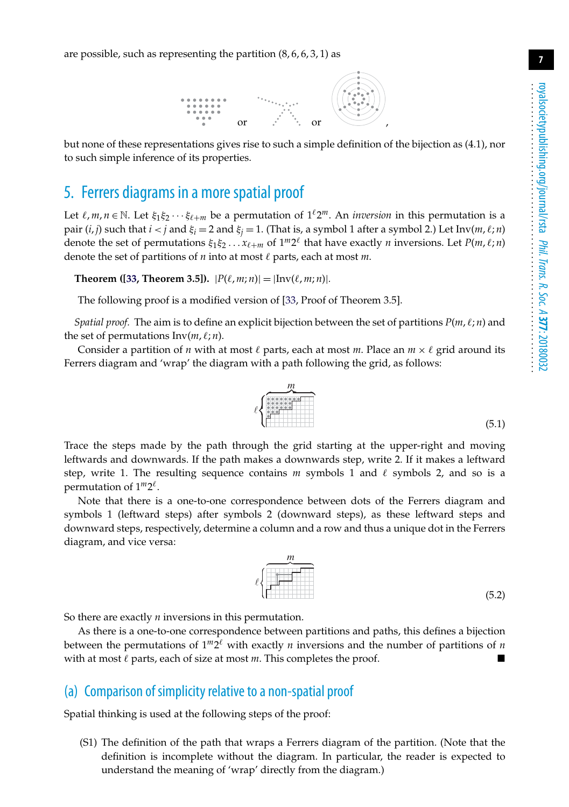are possible, such as representing the partition  $(8, 6, 6, 3, 1)$  as



but none of these representations gives rise to such a simple definition of the bijection as (4.1), nor to such simple inference of its properties.

# <span id="page-6-0"></span>5. Ferrers diagrams in a more spatial proof

Let  $\ell, m, n \in \mathbb{N}$ . Let  $\xi_1 \xi_2 \cdots \xi_{\ell+m}$  be a permutation of  $1^{\ell}2^m$ . An *inversion* in this permutation is a pair  $(i, j)$  such that  $i < j$  and  $\xi_i = 2$  and  $\xi_j = 1$ . (That is, a symbol 1 after a symbol 2.) Let  $\text{Inv}(m, \ell; n)$ denote the set of permutations  $\xi_1 \xi_2 \ldots x_{\ell+m}$  of  $1^m 2^{\ell}$  that have exactly *n* inversions. Let  $P(m, \ell; n)$ denote the set of partitions of  $n$  into at most  $\ell$  parts, each at most  $m$ .

**Theorem ([\[33,](#page-12-18) Theorem 3.5]).**  $|P(\ell, m; n)| = |\text{Inv}(\ell, m; n)|$ .

The following proof is a modified version of [\[33,](#page-12-18) Proof of Theorem 3.5].

 $\ell$ 

*Spatial proof.* The aim is to define an explicit bijection between the set of partitions  $P(m, \ell; n)$  and the set of permutations  $Inv(m, \ell; n)$ .

Consider a partition of *n* with at most  $\ell$  parts, each at most *m*. Place an  $m \times \ell$  grid around its Ferrers diagram and 'wrap' the diagram with a path following the grid, as follows:

Trace the steps made by the path through the grid starting at the upper-right and moving leftwards and downwards. If the path makes a downwards step, write 2. If it makes a leftward step, write 1. The resulting sequence contains  $m$  symbols 1 and  $\ell$  symbols 2, and so is a permutation of  $1^m2^{\ell}$ .

Note that there is a one-to-one correspondence between dots of the Ferrers diagram and symbols 1 (leftward steps) after symbols 2 (downward steps), as these leftward steps and downward steps, respectively, determine a column and a row and thus a unique dot in the Ferrers diagram, and vice versa:



So there are exactly *n* inversions in this permutation.

As there is a one-to-one correspondence between partitions and paths, this defines a bijection between the permutations of  $1^m 2^{\ell}$  with exactly *n* inversions and the number of partitions of *n* with at most  $\ell$  parts, each of size at most  $m$ . This completes the proof.

#### (a) Comparison of simplicity relative to a non-spatial proof

Spatial thinking is used at the following steps of the proof:

(S1) The definition of the path that wraps a Ferrers diagram of the partition. (Note that the definition is incomplete without the diagram. In particular, the reader is expected to understand the meaning of 'wrap' directly from the diagram.)

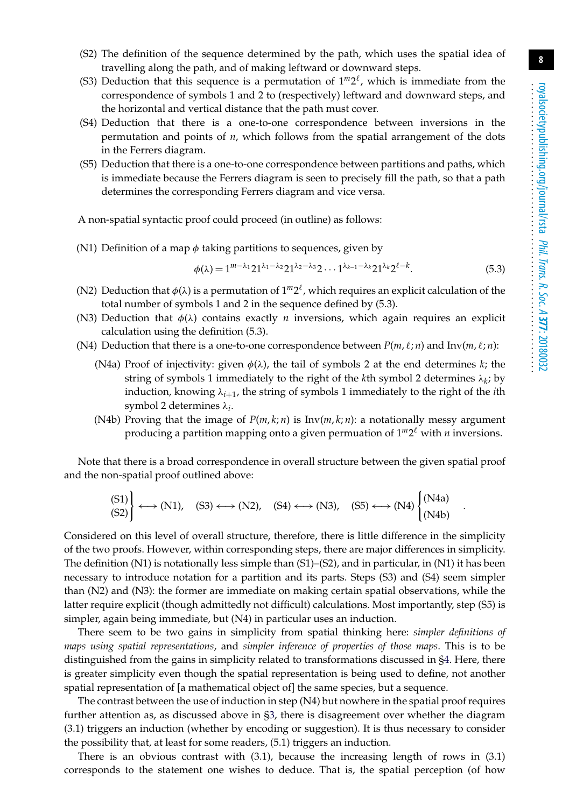- (S2) The definition of the sequence determined by the path, which uses the spatial idea of travelling along the path, and of making leftward or downward steps.
- (S3) Deduction that this sequence is a permutation of  $1^m2^{\ell}$ , which is immediate from the correspondence of symbols 1 and 2 to (respectively) leftward and downward steps, and the horizontal and vertical distance that the path must cover.
- (S4) Deduction that there is a one-to-one correspondence between inversions in the permutation and points of *n*, which follows from the spatial arrangement of the dots in the Ferrers diagram.
- (S5) Deduction that there is a one-to-one correspondence between partitions and paths, which is immediate because the Ferrers diagram is seen to precisely fill the path, so that a path determines the corresponding Ferrers diagram and vice versa.

A non-spatial syntactic proof could proceed (in outline) as follows:

(N1) Definition of a map  $\phi$  taking partitions to sequences, given by

$$
\phi(\lambda) = 1^{m-\lambda_1} 21^{\lambda_1-\lambda_2} 21^{\lambda_2-\lambda_3} 2 \cdots 1^{\lambda_{k-1}-\lambda_k} 21^{\lambda_k} 2^{\ell-k}.
$$
 (5.3)

- (N2) Deduction that  $\phi(\lambda)$  is a permutation of  $1^m 2^{\ell}$ , which requires an explicit calculation of the total number of symbols 1 and 2 in the sequence defined by (5.3).
- (N3) Deduction that  $\phi(\lambda)$  contains exactly *n* inversions, which again requires an explicit calculation using the definition (5.3).
- (N4) Deduction that there is a one-to-one correspondence between  $P(m, \ell; n)$  and  $Inv(m, \ell; n)$ :
	- (N4a) Proof of injectivity: given  $\phi(\lambda)$ , the tail of symbols 2 at the end determines *k*; the string of symbols 1 immediately to the right of the *k*th symbol 2 determines  $\lambda_k$ ; by induction, knowing λ*i*+1, the string of symbols 1 immediately to the right of the *i*th symbol 2 determines λ*i*.
	- (N4b) Proving that the image of  $P(m, k; n)$  is  $Inv(m, k; n)$ : a notationally messy argument producing a partition mapping onto a given permuation of  $1^m2^{\ell}$  with *n* inversions.

Note that there is a broad correspondence in overall structure between the given spatial proof and the non-spatial proof outlined above:

$$
\begin{array}{c} \text{(S1)} \\ \text{(S2)} \end{array} \longleftrightarrow (\text{N1}), \quad \text{(S3)} \longleftrightarrow (\text{N2}), \quad \text{(S4)} \longleftrightarrow (\text{N3}), \quad \text{(S5)} \longleftrightarrow (\text{N4}) \begin{cases} (\text{N4a}) \\ (\text{N4b}) \end{cases}.
$$

Considered on this level of overall structure, therefore, there is little difference in the simplicity of the two proofs. However, within corresponding steps, there are major differences in simplicity. The definition (N1) is notationally less simple than (S1)–(S2), and in particular, in (N1) it has been necessary to introduce notation for a partition and its parts. Steps (S3) and (S4) seem simpler than (N2) and (N3): the former are immediate on making certain spatial observations, while the latter require explicit (though admittedly not difficult) calculations. Most importantly, step (S5) is simpler, again being immediate, but (N4) in particular uses an induction.

There seem to be two gains in simplicity from spatial thinking here: *simpler definitions of maps using spatial representations*, and *simpler inference of properties of those maps*. This is to be distinguished from the gains in simplicity related to transformations discussed in [§4.](#page-4-0) Here, there is greater simplicity even though the spatial representation is being used to define, not another spatial representation of [a mathematical object of] the same species, but a sequence.

The contrast between the use of induction in step (N4) but nowhere in the spatial proof requires further attention as, as discussed above in [§3,](#page-3-0) there is disagreement over whether the diagram (3.1) triggers an induction (whether by encoding or suggestion). It is thus necessary to consider the possibility that, at least for some readers, (5.1) triggers an induction.

There is an obvious contrast with (3.1), because the increasing length of rows in (3.1) corresponds to the statement one wishes to deduce. That is, the spatial perception (of how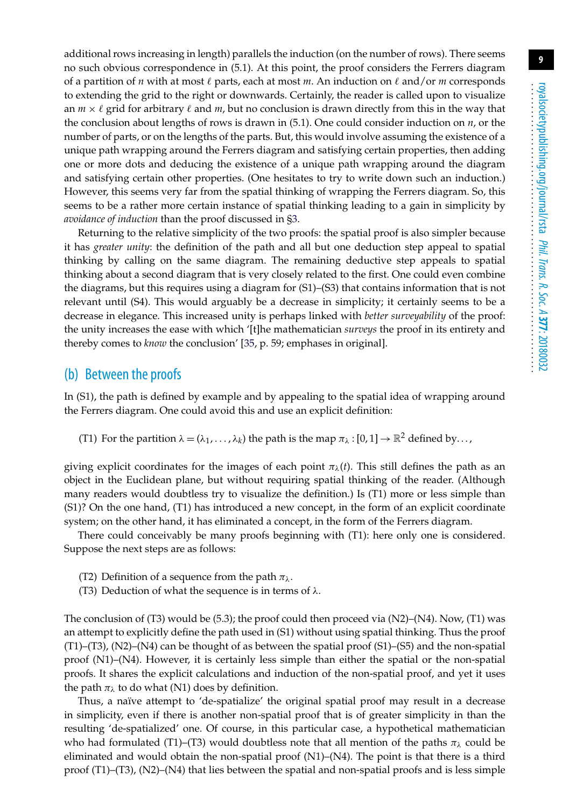additional rows increasing in length) parallels the induction (on the number of rows). There seems no such obvious correspondence in (5.1). At this point, the proof considers the Ferrers diagram of a partition of *n* with at most  $\ell$  parts, each at most *m*. An induction on  $\ell$  and/or *m* corresponds to extending the grid to the right or downwards. Certainly, the reader is called upon to visualize an  $m \times \ell$  grid for arbitrary  $\ell$  and  $m$ , but no conclusion is drawn directly from this in the way that the conclusion about lengths of rows is drawn in (5.1). One could consider induction on *n*, or the number of parts, or on the lengths of the parts. But, this would involve assuming the existence of a unique path wrapping around the Ferrers diagram and satisfying certain properties, then adding one or more dots and deducing the existence of a unique path wrapping around the diagram and satisfying certain other properties. (One hesitates to try to write down such an induction.) However, this seems very far from the spatial thinking of wrapping the Ferrers diagram. So, this seems to be a rather more certain instance of spatial thinking leading to a gain in simplicity by *avoidance of induction* than the proof discussed in [§3.](#page-3-0)

Returning to the relative simplicity of the two proofs: the spatial proof is also simpler because it has *greater unity*: the definition of the path and all but one deduction step appeal to spatial thinking by calling on the same diagram. The remaining deductive step appeals to spatial thinking about a second diagram that is very closely related to the first. One could even combine the diagrams, but this requires using a diagram for (S1)–(S3) that contains information that is not relevant until (S4). This would arguably be a decrease in simplicity; it certainly seems to be a decrease in elegance. This increased unity is perhaps linked with *better surveyability* of the proof: the unity increases the ease with which '[t]he mathematician *surveys* the proof in its entirety and thereby comes to *know* the conclusion' [\[35,](#page-12-20) p. 59; emphases in original].

#### (b) Between the proofs

In (S1), the path is defined by example and by appealing to the spatial idea of wrapping around the Ferrers diagram. One could avoid this and use an explicit definition:

(T1) For the partition  $\lambda = (\lambda_1, \ldots, \lambda_k)$  the path is the map  $\pi_\lambda : [0, 1] \to \mathbb{R}^2$  defined by...,

giving explicit coordinates for the images of each point  $\pi_{\lambda}(t)$ . This still defines the path as an object in the Euclidean plane, but without requiring spatial thinking of the reader. (Although many readers would doubtless try to visualize the definition.) Is (T1) more or less simple than (S1)? On the one hand, (T1) has introduced a new concept, in the form of an explicit coordinate system; on the other hand, it has eliminated a concept, in the form of the Ferrers diagram.

There could conceivably be many proofs beginning with (T1): here only one is considered. Suppose the next steps are as follows:

- (T2) Definition of a sequence from the path  $\pi_{\lambda}$ .
- (T3) Deduction of what the sequence is in terms of  $\lambda$ .

The conclusion of  $(T3)$  would be  $(5.3)$ ; the proof could then proceed via  $(N2)$ – $(N4)$ . Now,  $(T1)$  was an attempt to explicitly define the path used in (S1) without using spatial thinking. Thus the proof  $(T1)$ – $(T3)$ ,  $(N2)$ – $(N4)$  can be thought of as between the spatial proof  $(S1)$ – $(S5)$  and the non-spatial proof (N1)–(N4). However, it is certainly less simple than either the spatial or the non-spatial proofs. It shares the explicit calculations and induction of the non-spatial proof, and yet it uses the path  $\pi_{\lambda}$  to do what (N1) does by definition.

Thus, a naïve attempt to 'de-spatialize' the original spatial proof may result in a decrease in simplicity, even if there is another non-spatial proof that is of greater simplicity in than the resulting 'de-spatialized' one. Of course, in this particular case, a hypothetical mathematician who had formulated (T1)–(T3) would doubtless note that all mention of the paths  $\pi_{\lambda}$  could be eliminated and would obtain the non-spatial proof  $(N1)$ – $(N4)$ . The point is that there is a third proof (T1)–(T3), (N2)–(N4) that lies between the spatial and non-spatial proofs and is less simple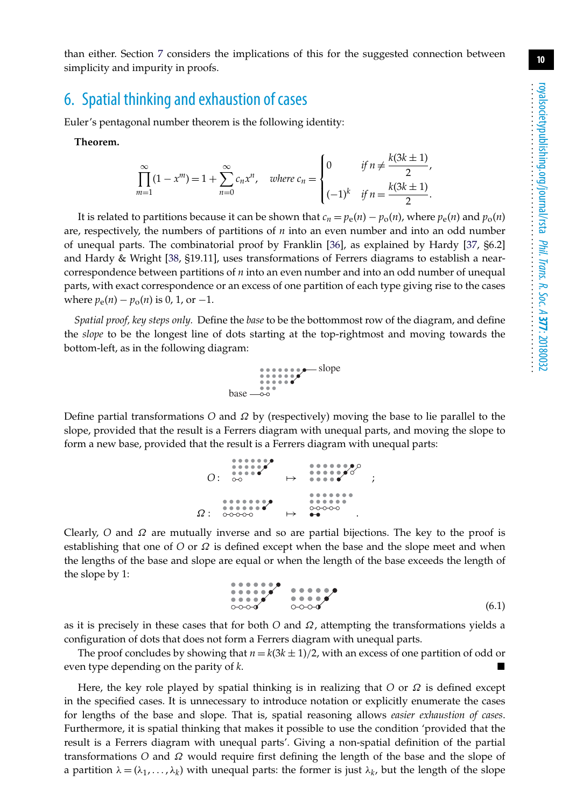**10**

than either. Section [7](#page-10-0) considers the implications of this for the suggested connection between simplicity and impurity in proofs.

# 6. Spatial thinking and exhaustion of cases

Euler's pentagonal number theorem is the following identity:

**Theorem.**

$$
\prod_{m=1}^{\infty} (1 - x^m) = 1 + \sum_{n=0}^{\infty} c_n x^n, \quad \text{where } c_n = \begin{cases} 0 & \text{if } n \neq \frac{k(3k \pm 1)}{2}, \\ (-1)^k & \text{if } n = \frac{k(3k \pm 1)}{2}. \end{cases}
$$

It is related to partitions because it can be shown that  $c_n = p_e(n) - p_o(n)$ , where  $p_e(n)$  and  $p_o(n)$ are, respectively, the numbers of partitions of *n* into an even number and into an odd number of unequal parts. The combinatorial proof by Franklin [\[36\]](#page-12-21), as explained by Hardy [\[37,](#page-12-22) §6.2] and Hardy & Wright [\[38,](#page-12-23) §19.11], uses transformations of Ferrers diagrams to establish a nearcorrespondence between partitions of *n* into an even number and into an odd number of unequal parts, with exact correspondence or an excess of one partition of each type giving rise to the cases where  $p_e(n) - p_o(n)$  is 0, 1, or -1.

*Spatial proof, key steps only.* Define the *base* to be the bottommost row of the diagram, and define the *slope* to be the longest line of dots starting at the top-rightmost and moving towards the bottom-left, as in the following diagram:



Define partial transformations *O* and Ω by (respectively) moving the base to lie parallel to the slope, provided that the result is a Ferrers diagram with unequal parts, and moving the slope to form a new base, provided that the result is a Ferrers diagram with unequal parts:

| $\Omega$ : | <br><br>$\begin{array}{l} 0.00000 \\ 0.00000 \end{array}$ | . <u>.</u> .                                | ٠ |
|------------|-----------------------------------------------------------|---------------------------------------------|---|
| $\Omega:$  | 0-0-0-0-0                                                 | <br><br>$0 - 0 - 0 - 0$<br>$\bullet\bullet$ |   |

Clearly, *O* and Ω are mutually inverse and so are partial bijections. The key to the proof is establishing that one of *O* or Ω is defined except when the base and the slope meet and when the lengths of the base and slope are equal or when the length of the base exceeds the length of the slope by 1:

$$
\begin{array}{c}\n\bullet \bullet \bullet \bullet \bullet \bullet \bullet \\
\bullet \bullet \bullet \bullet \bullet \\
\bullet \bullet \bullet \bullet \bullet\n\end{array}
$$
\n
$$
\begin{array}{c}\n\bullet \bullet \bullet \bullet \bullet \bullet \bullet \\
\bullet \bullet \bullet \bullet \bullet \bullet\n\end{array}
$$
\n
$$
\begin{array}{c}\n\bullet \bullet \bullet \bullet \bullet \bullet \\
\bullet \bullet \bullet \bullet \bullet \bullet \bullet\n\end{array}
$$
\n
$$
\begin{array}{c}\n\bullet \bullet \bullet \bullet \bullet \\
\bullet \bullet \bullet \bullet \bullet \bullet \bullet\n\end{array}
$$
\n
$$
\begin{array}{c}\n\bullet \bullet \bullet \bullet \bullet \\
\bullet \bullet \bullet \bullet \bullet \bullet \bullet\n\end{array}
$$
\n
$$
\begin{array}{c}\n\bullet \bullet \bullet \bullet \bullet \\
\bullet \bullet \bullet \bullet \bullet \bullet \bullet\n\end{array}
$$
\n
$$
\begin{array}{c}\n\bullet \bullet \bullet \bullet \bullet \bullet \\
\bullet \bullet \bullet \bullet \bullet \bullet \bullet \bullet\n\end{array}
$$

as it is precisely in these cases that for both  $O$  and  $\Omega$ , attempting the transformations yields a configuration of dots that does not form a Ferrers diagram with unequal parts.

The proof concludes by showing that  $n = k(3k \pm 1)/2$ , with an excess of one partition of odd or even type depending on the parity of *k*.

Here, the key role played by spatial thinking is in realizing that  $O$  or  $\Omega$  is defined except in the specified cases. It is unnecessary to introduce notation or explicitly enumerate the cases for lengths of the base and slope. That is, spatial reasoning allows *easier exhaustion of cases*. Furthermore, it is spatial thinking that makes it possible to use the condition 'provided that the result is a Ferrers diagram with unequal parts'. Giving a non-spatial definition of the partial transformations *O* and Ω would require first defining the length of the base and the slope of a partition  $\lambda = (\lambda_1, \dots, \lambda_k)$  with unequal parts: the former is just  $\lambda_k$ , but the length of the slope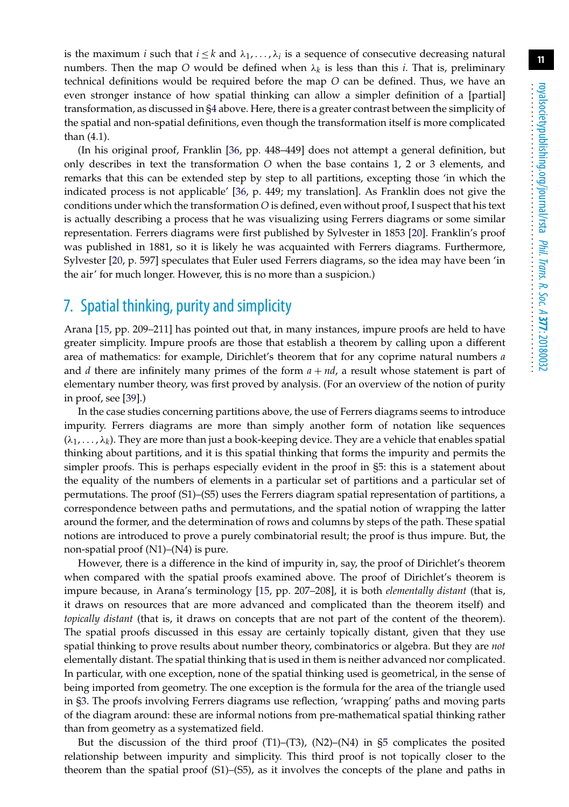is the maximum *i* such that  $i \leq k$  and  $\lambda_1, \ldots, \lambda_i$  is a sequence of consecutive decreasing natural numbers. Then the map O would be defined when  $\lambda_k$  is less than this *i*. That is, preliminary technical definitions would be required before the map *O* can be defined. Thus, we have an even stronger instance of how spatial thinking can allow a simpler definition of a [partial] transformation, as discussed in [§4](#page-4-0) above. Here, there is a greater contrast between the simplicity of the spatial and non-spatial definitions, even though the transformation itself is more complicated than (4.1).

(In his original proof, Franklin [\[36,](#page-12-21) pp. 448–449] does not attempt a general definition, but only describes in text the transformation *O* when the base contains 1, 2 or 3 elements, and remarks that this can be extended step by step to all partitions, excepting those 'in which the indicated process is not applicable' [\[36,](#page-12-21) p. 449; my translation]. As Franklin does not give the conditions under which the transformation *O* is defined, even without proof, I suspect that his text is actually describing a process that he was visualizing using Ferrers diagrams or some similar representation. Ferrers diagrams were first published by Sylvester in 1853 [\[20\]](#page-12-5). Franklin's proof was published in 1881, so it is likely he was acquainted with Ferrers diagrams. Furthermore, Sylvester [\[20,](#page-12-5) p. 597] speculates that Euler used Ferrers diagrams, so the idea may have been 'in the air' for much longer. However, this is no more than a suspicion.)

# <span id="page-10-0"></span>7. Spatial thinking, purity and simplicity

Arana [\[15,](#page-12-0) pp. 209–211] has pointed out that, in many instances, impure proofs are held to have greater simplicity. Impure proofs are those that establish a theorem by calling upon a different area of mathematics: for example, Dirichlet's theorem that for any coprime natural numbers *a* and *d* there are infinitely many primes of the form  $a + nd$ , a result whose statement is part of elementary number theory, was first proved by analysis. (For an overview of the notion of purity in proof, see [\[39\]](#page-12-24).)

In the case studies concerning partitions above, the use of Ferrers diagrams seems to introduce impurity. Ferrers diagrams are more than simply another form of notation like sequences  $(\lambda_1, \ldots, \lambda_k)$ . They are more than just a book-keeping device. They are a vehicle that enables spatial thinking about partitions, and it is this spatial thinking that forms the impurity and permits the simpler proofs. This is perhaps especially evident in the proof in [§5:](#page-6-0) this is a statement about the equality of the numbers of elements in a particular set of partitions and a particular set of permutations. The proof (S1)–(S5) uses the Ferrers diagram spatial representation of partitions, a correspondence between paths and permutations, and the spatial notion of wrapping the latter around the former, and the determination of rows and columns by steps of the path. These spatial notions are introduced to prove a purely combinatorial result; the proof is thus impure. But, the non-spatial proof (N1)–(N4) is pure.

However, there is a difference in the kind of impurity in, say, the proof of Dirichlet's theorem when compared with the spatial proofs examined above. The proof of Dirichlet's theorem is impure because, in Arana's terminology [\[15,](#page-12-0) pp. 207–208], it is both *elementally distant* (that is, it draws on resources that are more advanced and complicated than the theorem itself) and *topically distant* (that is, it draws on concepts that are not part of the content of the theorem). The spatial proofs discussed in this essay are certainly topically distant, given that they use spatial thinking to prove results about number theory, combinatorics or algebra. But they are *not* elementally distant. The spatial thinking that is used in them is neither advanced nor complicated. In particular, with one exception, none of the spatial thinking used is geometrical, in the sense of being imported from geometry. The one exception is the formula for the area of the triangle used in [§3.](#page-3-0) The proofs involving Ferrers diagrams use reflection, 'wrapping' paths and moving parts of the diagram around: these are informal notions from pre-mathematical spatial thinking rather than from geometry as a systematized field.

But the discussion of the third proof  $(T1)$ – $(T3)$ ,  $(N2)$ – $(N4)$  in [§5](#page-6-0) complicates the posited relationship between impurity and simplicity. This third proof is not topically closer to the theorem than the spatial proof (S1)–(S5), as it involves the concepts of the plane and paths in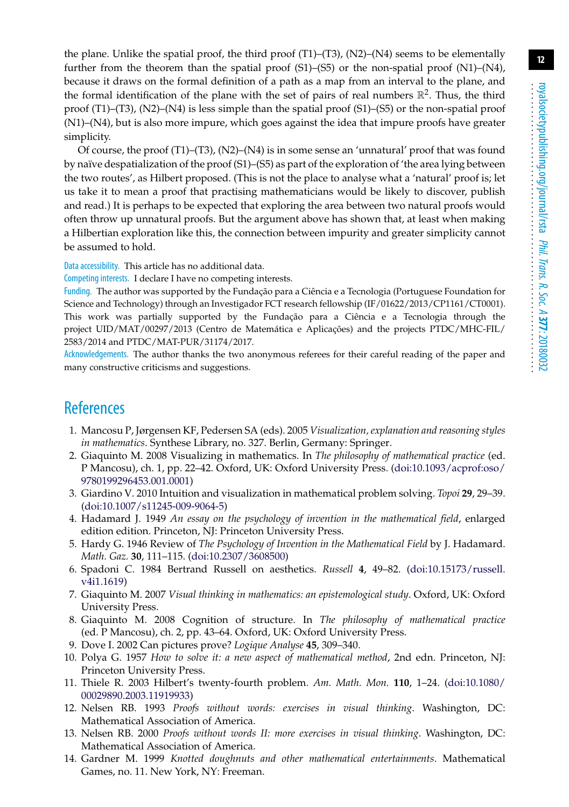**12**

the plane. Unlike the spatial proof, the third proof (T1)–(T3), (N2)–(N4) seems to be elementally further from the theorem than the spatial proof  $(S1)$ – $(S5)$  or the non-spatial proof  $(N1)$ – $(N4)$ , because it draws on the formal definition of a path as a map from an interval to the plane, and the formal identification of the plane with the set of pairs of real numbers  $\mathbb{R}^2$ . Thus, the third proof (T1)–(T3), (N2)–(N4) is less simple than the spatial proof (S1)–(S5) or the non-spatial proof (N1)–(N4), but is also more impure, which goes against the idea that impure proofs have greater simplicity.

Of course, the proof (T1)–(T3), (N2)–(N4) is in some sense an 'unnatural' proof that was found by naïve despatialization of the proof (S1)–(S5) as part of the exploration of 'the area lying between the two routes', as Hilbert proposed. (This is not the place to analyse what a 'natural' proof is; let us take it to mean a proof that practising mathematicians would be likely to discover, publish and read.) It is perhaps to be expected that exploring the area between two natural proofs would often throw up unnatural proofs. But the argument above has shown that, at least when making a Hilbertian exploration like this, the connection between impurity and greater simplicity cannot be assumed to hold.

Data accessibility. This article has no additional data.

Competing interests. I declare I have no competing interests.

Funding. The author was supported by the Fundação para a Ciência e a Tecnologia (Portuguese Foundation for Science and Technology) through an Investigador FCT research fellowship (IF/01622/2013/CP1161/CT0001). This work was partially supported by the Fundação para a Ciência e a Tecnologia through the project UID/MAT/00297/2013 (Centro de Matemática e Aplicações) and the projects PTDC/MHC-FIL/ 2583/2014 and PTDC/MAT-PUR/31174/2017.

Acknowledgements. The author thanks the two anonymous referees for their careful reading of the paper and many constructive criticisms and suggestions.

# <span id="page-11-0"></span>**References**

- 1. Mancosu P, Jørgensen KF, Pedersen SA (eds). 2005 *Visualization, explanation and reasoning styles in mathematics*. Synthese Library, no. 327. Berlin, Germany: Springer.
- 2. Giaquinto M. 2008 Visualizing in mathematics. In *The philosophy of mathematical practice* (ed. P Mancosu), ch. 1, pp. 22–42. Oxford, UK: Oxford University Press. [\(doi:10.1093/acprof:oso/](http://dx.doi.org/doi:10.1093/acprof:oso/9780199296453.001.0001) [9780199296453.001.0001\)](http://dx.doi.org/doi:10.1093/acprof:oso/9780199296453.001.0001)
- <span id="page-11-1"></span>3. Giardino V. 2010 Intuition and visualization in mathematical problem solving. *Topoi* **29**, 29–39. [\(doi:10.1007/s11245-009-9064-5\)](http://dx.doi.org/doi:10.1007/s11245-009-9064-5)
- <span id="page-11-2"></span>4. Hadamard J. 1949 *An essay on the psychology of invention in the mathematical field*, enlarged edition edition. Princeton, NJ: Princeton University Press.
- <span id="page-11-3"></span>5. Hardy G. 1946 Review of *The Psychology of Invention in the Mathematical Field* by J. Hadamard. *Math. Gaz.* **30**, 111–115. [\(doi:10.2307/3608500\)](http://dx.doi.org/doi:10.2307/3608500)
- <span id="page-11-4"></span>6. Spadoni C. 1984 Bertrand Russell on aesthetics. *Russell* **4**, 49–82. [\(doi:10.15173/russell.](http://dx.doi.org/doi:10.15173/russell.v4i1.1619) [v4i1.1619\)](http://dx.doi.org/doi:10.15173/russell.v4i1.1619)
- <span id="page-11-5"></span>7. Giaquinto M. 2007 *Visual thinking in mathematics: an epistemological study*. Oxford, UK: Oxford University Press.
- <span id="page-11-6"></span>8. Giaquinto M. 2008 Cognition of structure. In *The philosophy of mathematical practice* (ed. P Mancosu), ch. 2, pp. 43–64. Oxford, UK: Oxford University Press.
- <span id="page-11-8"></span><span id="page-11-7"></span>9. Dove I. 2002 Can pictures prove? *Logique Analyse* **45**, 309–340.
- 10. Polya G. 1957 *How to solve it: a new aspect of mathematical method*, 2nd edn. Princeton, NJ: Princeton University Press.
- <span id="page-11-9"></span>11. Thiele R. 2003 Hilbert's twenty-fourth problem. *Am. Math. Mon.* **110**, 1–24. [\(doi:10.1080/](http://dx.doi.org/doi:10.1080/00029890.2003.11919933) [00029890.2003.11919933\)](http://dx.doi.org/doi:10.1080/00029890.2003.11919933)
- <span id="page-11-10"></span>12. Nelsen RB. 1993 *Proofs without words: exercises in visual thinking*. Washington, DC: Mathematical Association of America.
- <span id="page-11-11"></span>13. Nelsen RB. 2000 *Proofs without words II: more exercises in visual thinking*. Washington, DC: Mathematical Association of America.
- <span id="page-11-12"></span>14. Gardner M. 1999 *Knotted doughnuts and other mathematical entertainments*. Mathematical Games, no. 11. New York, NY: Freeman.